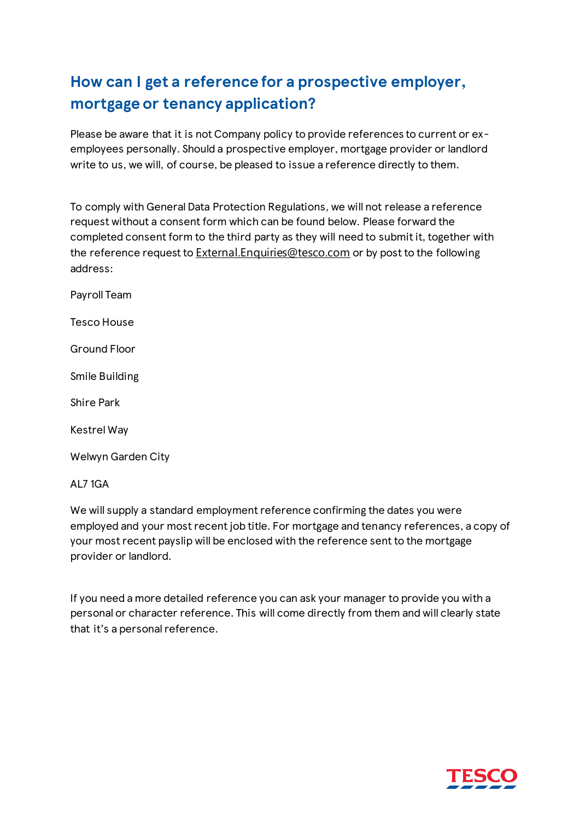## **How can I get a reference for a prospective employer, mortgage or tenancy application?**

Please be aware that it is not Company policy to provide references to current or exemployees personally. Should a prospective employer, mortgage provider or landlord write to us, we will, of course, be pleased to issue a reference directly to them.

To comply with General Data Protection Regulations, we will not release a reference request without a consent form which can be found below. Please forward the completed consent form to the third party as they will need to submit it, together with the reference request to [External.Enquiries@tesco.com](mailto:External.Enquiries@tesco.com) or by post to the following address:

Payroll Team

Tesco House

Ground Floor

Smile Building

Shire Park

Kestrel Way

Welwyn Garden City

AL7 1GA

We will supply a standard employment reference confirming the dates you were employed and your most recent job title. For mortgage and tenancy references, a copy of your most recent payslip will be enclosed with the reference sent to the mortgage provider or landlord.

If you need a more detailed reference you can ask your manager to provide you with a personal or character reference. This will come directly from them and will clearly state that it's a personal reference.